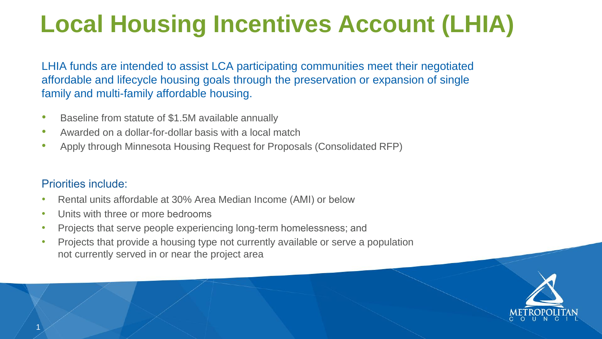## **Local Housing Incentives Account (LHIA)**

LHIA funds are intended to assist LCA participating communities meet their negotiated affordable and lifecycle housing goals through the preservation or expansion of single family and multi-family affordable housing.

- Baseline from statute of \$1.5M available annually
- Awarded on a dollar-for-dollar basis with a local match
- Apply through Minnesota Housing Request for Proposals (Consolidated RFP)

#### Prio[rities include:](https://www.mnhousing.gov/sites/np/impactfund)

- Rental units affordable at 30% Area Median Income (AMI) or below
- Units with three or more bedrooms
- Projects that serve people experiencing long-term homelessness; and
- Projects that provide a housing type not currently available or serve a population not currently served in or near the project area